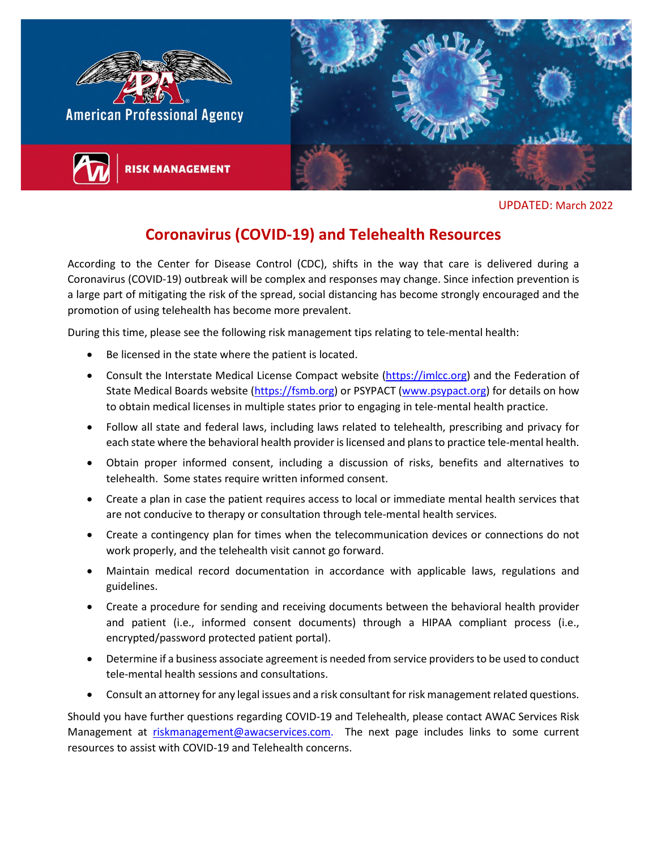

UPDATED: March 2022

## **Coronavirus (COVID-19) and Telehealth Resources**

According to the Center for Disease Control (CDC), shifts in the way that care is delivered during a Coronavirus (COVID-19) outbreak will be complex and responses may change. Since infection prevention is a large part of mitigating the risk of the spread, social distancing has become strongly encouraged and the promotion of using telehealth has become more prevalent.

During this time, please see the following risk management tips relating to tele-mental health:

- Be licensed in the state where the patient is located.
- Consult the Interstate Medical License Compact website [\(https://imlcc.org\)](https://imlcc.org/) and the Federation of State Medical Boards website [\(https://fsmb.org\)](https://fsmb.org/) or PSYPACT [\(www.psypact.org\)](http://www.psypact.org/) for details on how to obtain medical licenses in multiple states prior to engaging in tele-mental health practice.
- Follow all state and federal laws, including laws related to telehealth, prescribing and privacy for each state where the behavioral health provider is licensed and plans to practice tele-mental health.
- Obtain proper informed consent, including a discussion of risks, benefits and alternatives to telehealth. Some states require written informed consent.
- Create a plan in case the patient requires access to local or immediate mental health services that are not conducive to therapy or consultation through tele-mental health services.
- Create a contingency plan for times when the telecommunication devices or connections do not work properly, and the telehealth visit cannot go forward.
- Maintain medical record documentation in accordance with applicable laws, regulations and guidelines.
- Create a procedure for sending and receiving documents between the behavioral health provider and patient (i.e., informed consent documents) through a HIPAA compliant process (i.e., encrypted/password protected patient portal).
- Determine if a business associate agreement is needed from service providers to be used to conduct tele-mental health sessions and consultations.
- Consult an attorney for any legal issues and a risk consultant for risk management related questions.

Should you have further questions regarding COVID-19 and Telehealth, please contact AWAC Services Risk Management at [riskmanagement@awacservices.com.](mailto:riskmanagement@awacservices.com) The next page includes links to some current resources to assist with COVID-19 and Telehealth concerns.